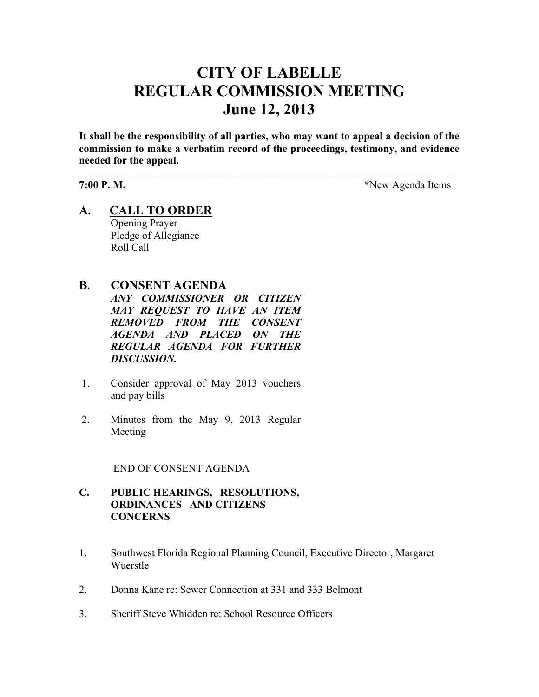# **CITY OF LABELLE REGULAR COMMISSION MEETING June 12, 2013**

**It shall be the responsibility of all parties, who may want to appeal a decision of the commission to make a verbatim record of the proceedings, testimony, and evidence needed for the appeal.**

 $\mathcal{L}_\mathcal{L} = \{ \mathcal{L}_\mathcal{L} = \{ \mathcal{L}_\mathcal{L} = \{ \mathcal{L}_\mathcal{L} = \{ \mathcal{L}_\mathcal{L} = \{ \mathcal{L}_\mathcal{L} = \{ \mathcal{L}_\mathcal{L} = \{ \mathcal{L}_\mathcal{L} = \{ \mathcal{L}_\mathcal{L} = \{ \mathcal{L}_\mathcal{L} = \{ \mathcal{L}_\mathcal{L} = \{ \mathcal{L}_\mathcal{L} = \{ \mathcal{L}_\mathcal{L} = \{ \mathcal{L}_\mathcal{L} = \{ \mathcal{L}_\mathcal{$ 

**7:00 P. M.** \*New Agenda Items

**A. CALL TO ORDER** Opening Prayer Pledge of Allegiance Roll Call

## **B. CONSENT AGENDA**

*ANY COMMISSIONER OR CITIZEN MAY REQUEST TO HAVE AN ITEM REMOVED FROM THE CONSENT AGENDA AND PLACED ON THE REGULAR AGENDA FOR FURTHER DISCUSSION.*

- 1. Consider approval of May 2013 vouchers and pay bills
- 2. Minutes from the May 9, 2013 Regular Meeting

END OF CONSENT AGENDA

#### **C. PUBLIC HEARINGS, RESOLUTIONS, ORDINANCES AND CITIZENS CONCERNS**

- 1. Southwest Florida Regional Planning Council, Executive Director, Margaret Wuerstle
- 2. Donna Kane re: Sewer Connection at 331 and 333 Belmont
- 3. Sheriff Steve Whidden re: School Resource Officers